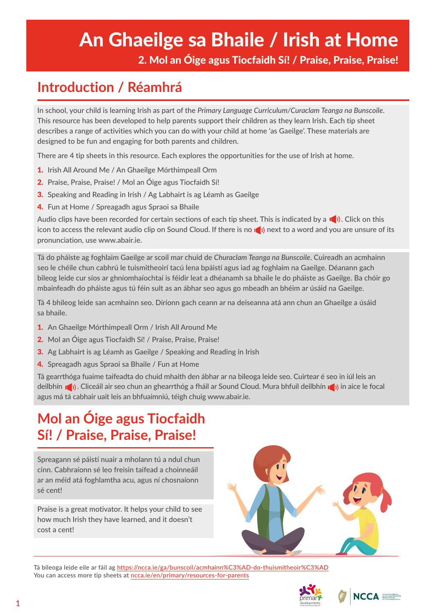# An Ghaeilge sa Bhaile / Irish at Home

2. Mol an Óige agus Tiocfaidh Sí! / Praise, Praise, Praise!

## **Introduction / Réamhrá**

In school, your child is learning Irish as part of the *Primary Language Curriculum/Curaclam Teanga na Bunscoile*. This resource has been developed to help parents support their children as they learn Irish. Each tip sheet describes a range of activities which you can do with your child at home 'as Gaeilge'. These materials are designed to be fun and engaging for both parents and children.

There are 4 tip sheets in this resource. Each explores the opportunities for the use of Irish at home.

- 1. Irish All Around Me / An Ghaeilge Mórthimpeall Orm
- 2. Praise, Praise, Praise! / Mol an Óige agus Tiocfaidh Sí!
- **3.** Speaking and Reading in Irish / Ag Labhairt is ag Léamh as Gaeilge
- 4. Fun at Home / Spreagadh agus Spraoi sa Bhaile

Audio clips have been recorded for certain sections of each tip sheet. This is indicated by a  $\blacksquare$ ). Click on this icon to access the relevant audio clip on Sound Cloud. If there is no **next to a word and you are unsure of its** pronunciation, use www.abair.ie.

Tá do pháiste ag foghlaim Gaeilge ar scoil mar chuid de *Churaclam Teanga na Bunscoile*. Cuireadh an acmhainn seo le chéile chun cabhrú le tuismitheoirí tacú lena bpáistí agus iad ag foghlaim na Gaeilge. Déanann gach bileog leide cur síos ar ghníomhaíochtaí is féidir leat a dhéanamh sa bhaile le do pháiste as Gaeilge. Ba chóir go mbainfeadh do pháiste agus tú féin sult as an ábhar seo agus go mbeadh an bhéim ar úsáid na Gaeilge.

Tá 4 bhileog leide san acmhainn seo. Díríonn gach ceann ar na deiseanna atá ann chun an Ghaeilge a úsáid sa bhaile.

- 1. An Ghaeilge Mórthimpeall Orm / Irish All Around Me
- 2. Mol an Óige agus Tiocfaidh Sí! / Praise, Praise, Praise!
- 3. Ag Labhairt is ag Léamh as Gaeilge / Speaking and Reading in Irish
- 4. Spreagadh agus Spraoi sa Bhaile / Fun at Home

Tá gearrthóga fuaime taifeadta do chuid mhaith den ábhar ar na bileoga leide seo. Cuirtear é seo in iúl leis an deilbhín **10**). Cliceáil air seo chun an ghearrthóg a fháil ar Sound Cloud. Mura bhfuil deilbhín 10) in aice le focal agus má tá cabhair uait leis an bhfuaimniú, téigh chuig www.abair.ie.

## **Mol an Óige agus Tiocfaidh Sí! / Praise, Praise, Praise!**

Spreagann sé páistí nuair a mholann tú a ndul chun cinn. Cabhraíonn sé leo freisin taifead a choinneáil ar an méid atá foghlamtha acu, agus ní chosnaíonn sé cent!

Praise is a great motivator. It helps your child to see how much Irish they have learned, and it doesn't cost a cent!



Tá bileoga leide eile ar fáil ag <https://ncca.ie/ga/bunscoil/acmhainn%C3%AD-do-thuismitheoir%C3%AD> You can access more tip sheets at ncca.ie/en/primary/resources-for-parents